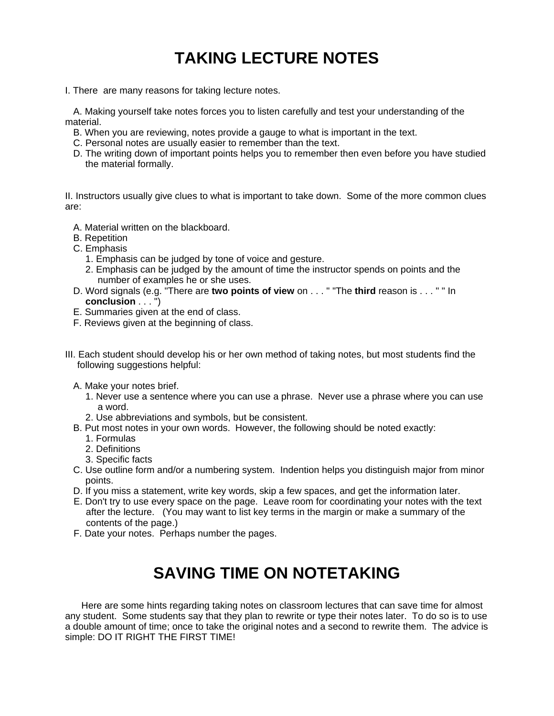## **TAKING LECTURE NOTES**

I. There are many reasons for taking lecture notes.

A. Making yourself take notes forces you to listen carefully and test your understanding of the material.

- B. When you are reviewing, notes provide a gauge to what is important in the text.
- C. Personal notes are usually easier to remember than the text.
- D. The writing down of important points helps you to remember then even before you have studied the material formally.

II. Instructors usually give clues to what is important to take down. Some of the more common clues are:

- A. Material written on the blackboard.
- B. Repetition
- C. Emphasis
	- 1. Emphasis can be judged by tone of voice and gesture.
	- 2. Emphasis can be judged by the amount of time the instructor spends on points and the number of examples he or she uses.
- D. Word signals (e.g. "There are **two points of view** on . . . " "The **third** reason is . . . " " In **conclusion** . . . ")
- E. Summaries given at the end of class.
- F. Reviews given at the beginning of class.
- III. Each student should develop his or her own method of taking notes, but most students find the following suggestions helpful:
	- A. Make your notes brief.
		- 1. Never use a sentence where you can use a phrase. Never use a phrase where you can use a word.
		- 2. Use abbreviations and symbols, but be consistent.
	- B. Put most notes in your own words. However, the following should be noted exactly:
		- 1. Formulas
		- 2. Definitions
		- 3. Specific facts
	- C. Use outline form and/or a numbering system. Indention helps you distinguish major from minor points.
	- D. If you miss a statement, write key words, skip a few spaces, and get the information later.
	- E. Don't try to use every space on the page. Leave room for coordinating your notes with the text after the lecture. (You may want to list key terms in the margin or make a summary of the contents of the page.)
	- F. Date your notes. Perhaps number the pages.

## **SAVING TIME ON NOTETAKING**

Here are some hints regarding taking notes on classroom lectures that can save time for almost any student. Some students say that they plan to rewrite or type their notes later. To do so is to use a double amount of time; once to take the original notes and a second to rewrite them. The advice is simple: DO IT RIGHT THE FIRST TIME!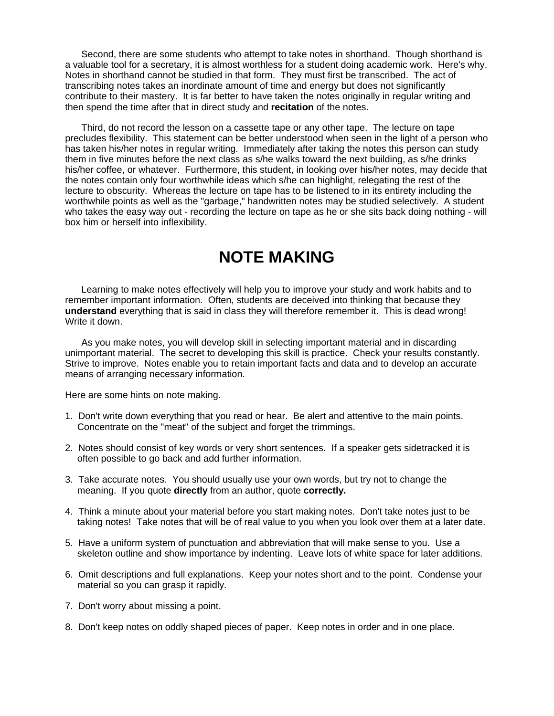Second, there are some students who attempt to take notes in shorthand. Though shorthand is a valuable tool for a secretary, it is almost worthless for a student doing academic work. Here's why. Notes in shorthand cannot be studied in that form. They must first be transcribed. The act of transcribing notes takes an inordinate amount of time and energy but does not significantly contribute to their mastery. It is far better to have taken the notes originally in regular writing and then spend the time after that in direct study and **recitation** of the notes.

Third, do not record the lesson on a cassette tape or any other tape. The lecture on tape precludes flexibility. This statement can be better understood when seen in the light of a person who has taken his/her notes in regular writing. Immediately after taking the notes this person can study them in five minutes before the next class as s/he walks toward the next building, as s/he drinks his/her coffee, or whatever. Furthermore, this student, in looking over his/her notes, may decide that the notes contain only four worthwhile ideas which s/he can highlight, relegating the rest of the lecture to obscurity. Whereas the lecture on tape has to be listened to in its entirety including the worthwhile points as well as the "garbage," handwritten notes may be studied selectively. A student who takes the easy way out - recording the lecture on tape as he or she sits back doing nothing - will box him or herself into inflexibility.

## **NOTE MAKING**

Learning to make notes effectively will help you to improve your study and work habits and to remember important information. Often, students are deceived into thinking that because they **understand** everything that is said in class they will therefore remember it. This is dead wrong! Write it down.

As you make notes, you will develop skill in selecting important material and in discarding unimportant material. The secret to developing this skill is practice. Check your results constantly. Strive to improve. Notes enable you to retain important facts and data and to develop an accurate means of arranging necessary information.

Here are some hints on note making.

- 1. Don't write down everything that you read or hear. Be alert and attentive to the main points. Concentrate on the "meat" of the subject and forget the trimmings.
- 2. Notes should consist of key words or very short sentences. If a speaker gets sidetracked it is often possible to go back and add further information.
- 3. Take accurate notes. You should usually use your own words, but try not to change the meaning. If you quote **directly** from an author, quote **correctly.**
- 4. Think a minute about your material before you start making notes. Don't take notes just to be taking notes! Take notes that will be of real value to you when you look over them at a later date.
- 5. Have a uniform system of punctuation and abbreviation that will make sense to you. Use a skeleton outline and show importance by indenting. Leave lots of white space for later additions.
- 6. Omit descriptions and full explanations. Keep your notes short and to the point. Condense your material so you can grasp it rapidly.
- 7. Don't worry about missing a point.
- 8. Don't keep notes on oddly shaped pieces of paper. Keep notes in order and in one place.